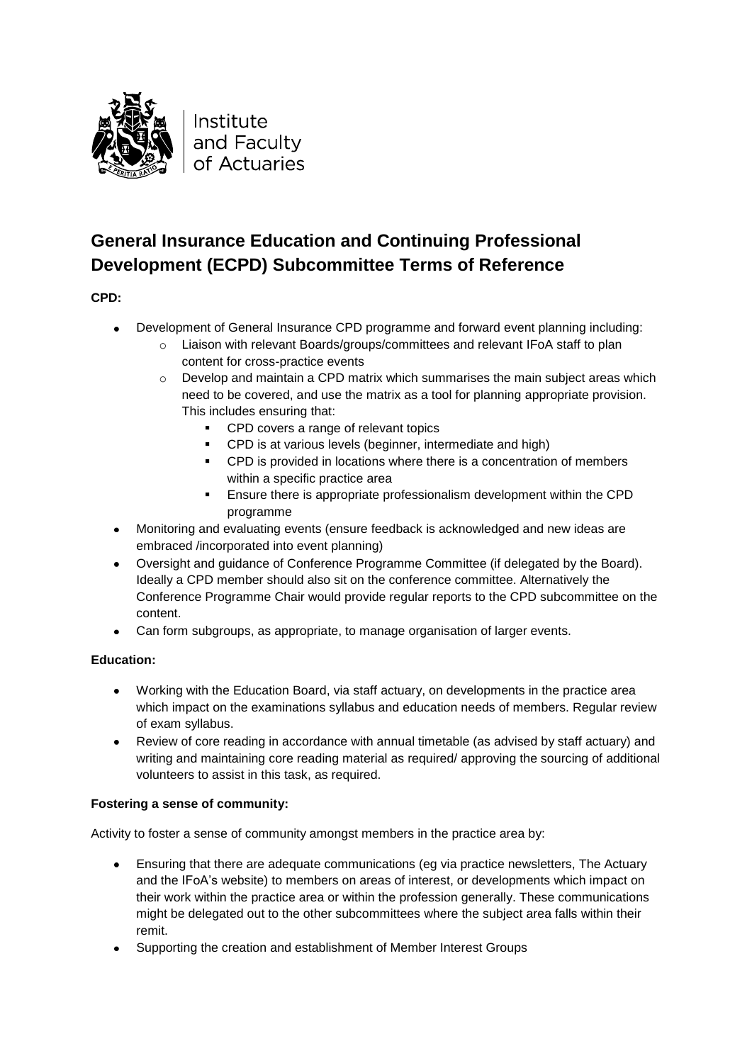

## **General Insurance Education and Continuing Professional Development (ECPD) Subcommittee Terms of Reference**

**CPD:**

- Development of General Insurance CPD programme and forward event planning including:  $\bullet$ 
	- o Liaison with relevant Boards/groups/committees and relevant IFoA staff to plan content for cross-practice events
	- $\circ$  Develop and maintain a CPD matrix which summarises the main subject areas which need to be covered, and use the matrix as a tool for planning appropriate provision. This includes ensuring that:
		- **CPD** covers a range of relevant topics
		- **CPD** is at various levels (beginner, intermediate and high)
		- CPD is provided in locations where there is a concentration of members within a specific practice area
		- Ensure there is appropriate professionalism development within the CPD programme
- Monitoring and evaluating events (ensure feedback is acknowledged and new ideas are embraced /incorporated into event planning)
- $\bullet$ Oversight and guidance of Conference Programme Committee (if delegated by the Board). Ideally a CPD member should also sit on the conference committee. Alternatively the Conference Programme Chair would provide regular reports to the CPD subcommittee on the content.
- Can form subgroups, as appropriate, to manage organisation of larger events.

## **Education:**

- Working with the Education Board, via staff actuary, on developments in the practice area which impact on the examinations syllabus and education needs of members. Regular review of exam syllabus.
- $\bullet$ Review of core reading in accordance with annual timetable (as advised by staff actuary) and writing and maintaining core reading material as required/ approving the sourcing of additional volunteers to assist in this task, as required.

## **Fostering a sense of community:**

Activity to foster a sense of community amongst members in the practice area by:

- Ensuring that there are adequate communications (eg via practice newsletters, The Actuary and the IFoA's website) to members on areas of interest, or developments which impact on their work within the practice area or within the profession generally. These communications might be delegated out to the other subcommittees where the subject area falls within their remit.
- Supporting the creation and establishment of Member Interest Groups